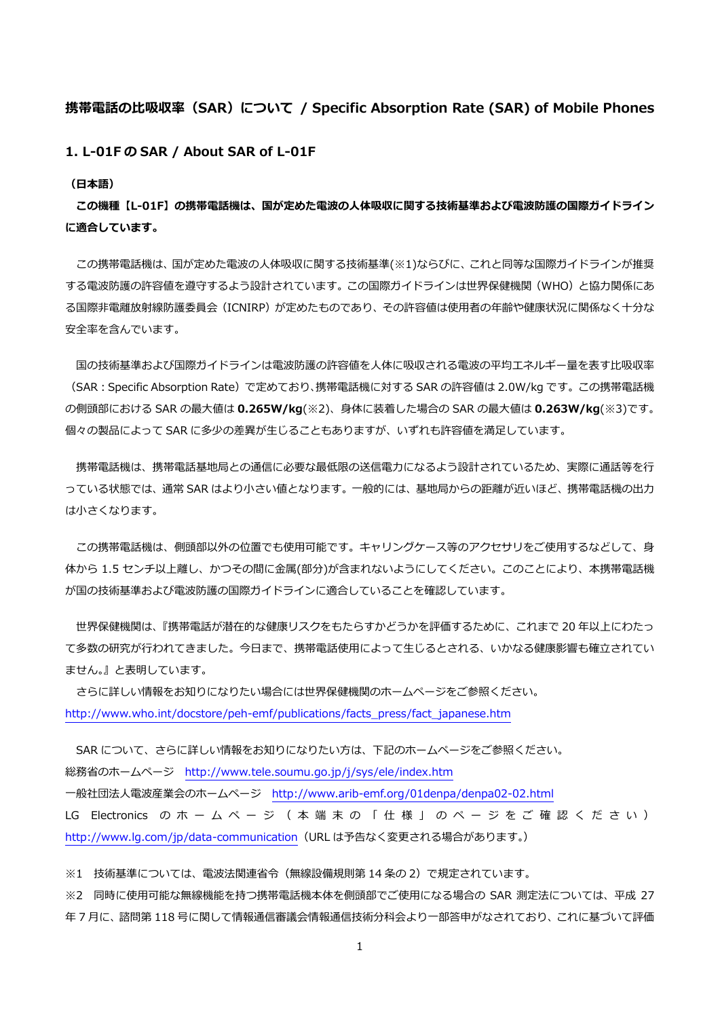# **携帯電話の⽐吸収率(SAR)について / Specific Absorption Rate (SAR) of Mobile Phones**

**1. L-01F の SAR / About SAR of L-01F** 

**(⽇本語)** 

**この機種【L-01F】の携帯電話機は、国が定めた電波の⼈体吸収に関する技術基準および電波防護の国際ガイドライン に適合しています。** 

この携帯電話機は、国が定めた電波の人体吸収に関する技術基準(※1)ならびに、これと同等な国際ガイドラインが推奨 する電波防護の許容値を遵守するよう設計されています。この国際ガイドラインは世界保健機関(WHO)と協⼒関係にあ る国際非電離放射線防護委員会(ICNIRP)が定めたものであり、その許容値は使用者の年齢や健康状況に関係なく十分な 安全率を含んでいます。

国の技術基準および国際ガイドラインは電波防護の許容値を人体に吸収される電波の平均エネルギー量を表す比吸収率 (SAR:Specific Absorption Rate)で定めており、携帯電話機に対する SAR の許容値は 2.0W/kg です。この携帯電話機 の側頭部における SAR の最⼤値は **0.265W/kg**(※2)、⾝体に装着した場合の SAR の最⼤値は **0.263W/kg**(※3)です。 個々の製品によって SAR に多少の差異が⽣じることもありますが、いずれも許容値を満⾜しています。

携帯電話機は、携帯電話基地局との通信に必要な最低限の送信電力になるよう設計されているため、実際に通話等を行 っている状態では、通常 SAR はより小さい値となります。一般的には、基地局からの距離が近いほど、携帯電話機の出力 は⼩さくなります。

この携帯電話機は、側頭部以外の位置でも使用可能です。キャリングケース等のアクセサリをご使用するなどして、身 体から 1.5 センチ以上離し、かつその間に金属(部分)が含まれないようにしてください。このことにより、本携帯電話機 が国の技術基準および電波防護の国際ガイドラインに適合していることを確認しています。

 世界保健機関は、『携帯電話が潜在的な健康リスクをもたらすかどうかを評価するために、これまで 20 年以上にわたっ て多数の研究が⾏われてきました。今⽇まで、携帯電話使⽤によって⽣じるとされる、いかなる健康影響も確⽴されてい ません。』と表明しています。

 さらに詳しい情報をお知りになりたい場合には世界保健機関のホームページをご参照ください。 http://www.who.int/docstore/peh-emf/publications/facts\_press/fact\_japanese.htm

SAR について、さらに詳しい情報をお知りになりたい方は、下記のホームページをご参照ください。 総務省のホームページ http://www.tele.soumu.go.jp/j/sys/ele/index.htm ⼀般社団法⼈電波産業会のホームページ http://www.arib-emf.org/01denpa/denpa02-02.html LG Electronics の ホ ー ム ペ ー ジ ( 本 端 末 の 「 仕 様 」 の ペ ー ジ を ご 確 認 く だ さ い ) http://www.lg.com/jp/data-communication(URL は予告なく変更される場合があります。)

※1 技術基準については、電波法関連省令(無線設備規則第 14 条の 2)で規定されています。

※2 同時に使用可能な無線機能を持つ携帯電話機本体を側頭部でご使用になる場合の SAR 測定法については、平成 27 年 7 月に、諮問第 118 号に関して情報通信審議会情報通信技術分科会より一部答申がなされており、これに基づいて評価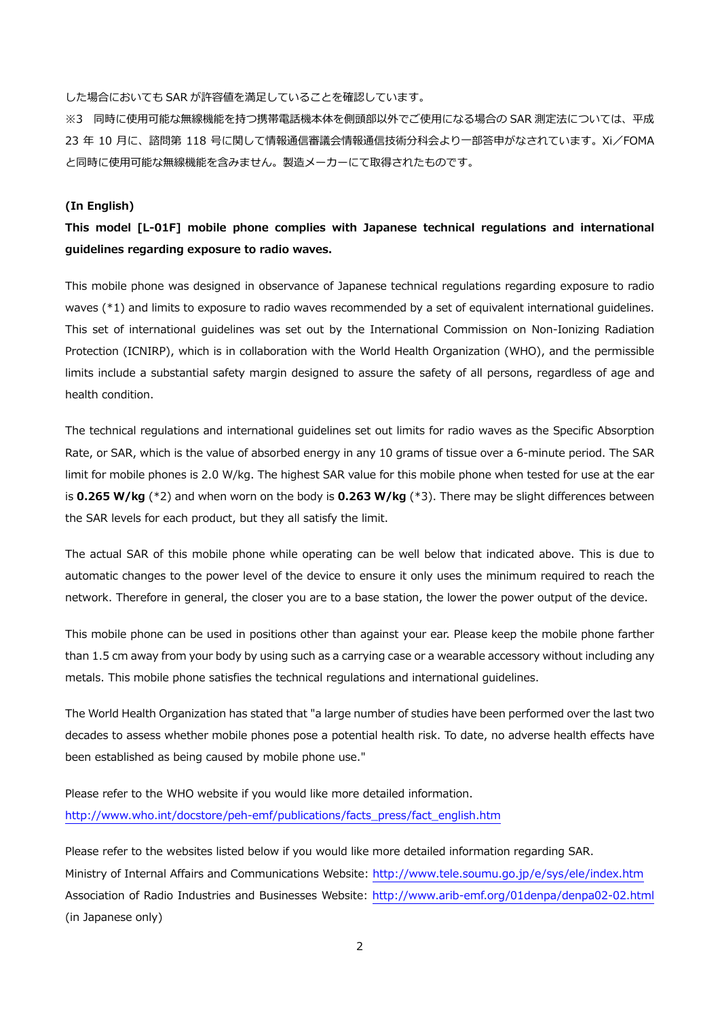した場合においても SAR が許容値を満⾜していることを確認しています。

※3 同時に使用可能な無線機能を持つ携帯電話機本体を側頭部以外でご使用になる場合の SAR 測定法については、平成 23 年 10 月に、諮問第 118 号に関して情報通信審議会情報通信技術分科会より一部答申がなされています。Xi/FOMA と同時に使⽤可能な無線機能を含みません。製造メーカーにて取得されたものです。

# **(In English)**

# **This model [L-01F] mobile phone complies with Japanese technical regulations and international guidelines regarding exposure to radio waves.**

This mobile phone was designed in observance of Japanese technical regulations regarding exposure to radio waves (\*1) and limits to exposure to radio waves recommended by a set of equivalent international guidelines. This set of international guidelines was set out by the International Commission on Non-Ionizing Radiation Protection (ICNIRP), which is in collaboration with the World Health Organization (WHO), and the permissible limits include a substantial safety margin designed to assure the safety of all persons, regardless of age and health condition.

The technical regulations and international guidelines set out limits for radio waves as the Specific Absorption Rate, or SAR, which is the value of absorbed energy in any 10 grams of tissue over a 6-minute period. The SAR limit for mobile phones is 2.0 W/kg. The highest SAR value for this mobile phone when tested for use at the ear is **0.265 W/kg** (\*2) and when worn on the body is **0.263 W/kg** (\*3). There may be slight differences between the SAR levels for each product, but they all satisfy the limit.

The actual SAR of this mobile phone while operating can be well below that indicated above. This is due to automatic changes to the power level of the device to ensure it only uses the minimum required to reach the network. Therefore in general, the closer you are to a base station, the lower the power output of the device.

This mobile phone can be used in positions other than against your ear. Please keep the mobile phone farther than 1.5 cm away from your body by using such as a carrying case or a wearable accessory without including any metals. This mobile phone satisfies the technical regulations and international guidelines.

The World Health Organization has stated that "a large number of studies have been performed over the last two decades to assess whether mobile phones pose a potential health risk. To date, no adverse health effects have been established as being caused by mobile phone use."

Please refer to the WHO website if you would like more detailed information. http://www.who.int/docstore/peh-emf/publications/facts\_press/fact\_english.htm

Please refer to the websites listed below if you would like more detailed information regarding SAR. Ministry of Internal Affairs and Communications Website: http://www.tele.soumu.go.jp/e/sys/ele/index.htm Association of Radio Industries and Businesses Website: http://www.arib-emf.org/01denpa/denpa02-02.html (in Japanese only)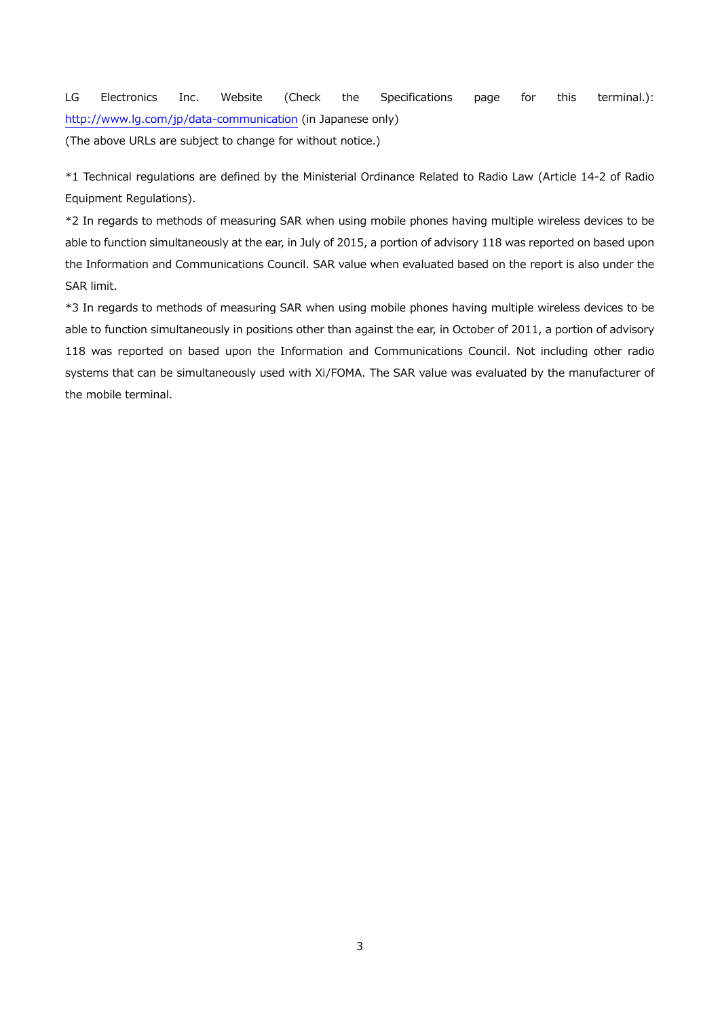LG Electronics Inc. Website (Check the Specifications page for this terminal.): http://www.lg.com/jp/data-communication (in Japanese only)

(The above URLs are subject to change for without notice.)

\*1 Technical regulations are defined by the Ministerial Ordinance Related to Radio Law (Article 14-2 of Radio Equipment Regulations).

\*2 In regards to methods of measuring SAR when using mobile phones having multiple wireless devices to be able to function simultaneously at the ear, in July of 2015, a portion of advisory 118 was reported on based upon the Information and Communications Council. SAR value when evaluated based on the report is also under the SAR limit.

\*3 In regards to methods of measuring SAR when using mobile phones having multiple wireless devices to be able to function simultaneously in positions other than against the ear, in October of 2011, a portion of advisory 118 was reported on based upon the Information and Communications Council. Not including other radio systems that can be simultaneously used with Xi/FOMA. The SAR value was evaluated by the manufacturer of the mobile terminal.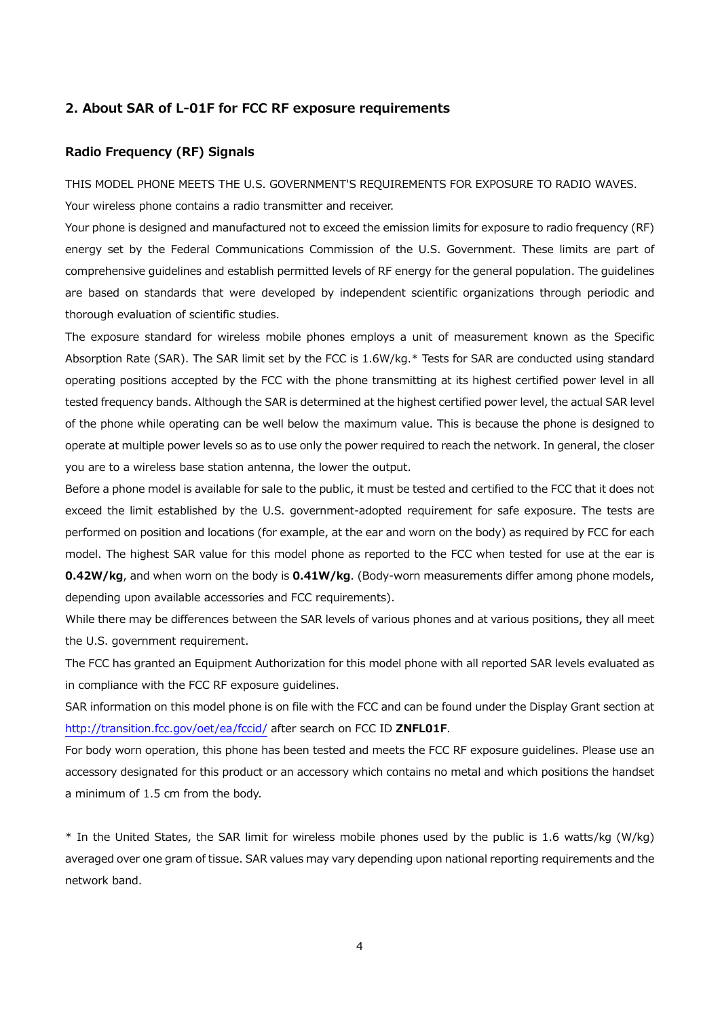#### **2. About SAR of L-01F for FCC RF exposure requirements**

# **Radio Frequency (RF) Signals**

THIS MODEL PHONE MEETS THE U.S. GOVERNMENT'S REQUIREMENTS FOR EXPOSURE TO RADIO WAVES. Your wireless phone contains a radio transmitter and receiver.

Your phone is designed and manufactured not to exceed the emission limits for exposure to radio frequency (RF) energy set by the Federal Communications Commission of the U.S. Government. These limits are part of comprehensive guidelines and establish permitted levels of RF energy for the general population. The guidelines are based on standards that were developed by independent scientific organizations through periodic and thorough evaluation of scientific studies.

The exposure standard for wireless mobile phones employs a unit of measurement known as the Specific Absorption Rate (SAR). The SAR limit set by the FCC is 1.6W/kg.\* Tests for SAR are conducted using standard operating positions accepted by the FCC with the phone transmitting at its highest certified power level in all tested frequency bands. Although the SAR is determined at the highest certified power level, the actual SAR level of the phone while operating can be well below the maximum value. This is because the phone is designed to operate at multiple power levels so as to use only the power required to reach the network. In general, the closer you are to a wireless base station antenna, the lower the output.

Before a phone model is available for sale to the public, it must be tested and certified to the FCC that it does not exceed the limit established by the U.S. government-adopted requirement for safe exposure. The tests are performed on position and locations (for example, at the ear and worn on the body) as required by FCC for each model. The highest SAR value for this model phone as reported to the FCC when tested for use at the ear is **0.42W/kg**, and when worn on the body is **0.41W/kg**. (Body-worn measurements differ among phone models, depending upon available accessories and FCC requirements).

While there may be differences between the SAR levels of various phones and at various positions, they all meet the U.S. government requirement.

The FCC has granted an Equipment Authorization for this model phone with all reported SAR levels evaluated as in compliance with the FCC RF exposure guidelines.

SAR information on this model phone is on file with the FCC and can be found under the Display Grant section at http://transition.fcc.gov/oet/ea/fccid/ after search on FCC ID **ZNFL01F**.

For body worn operation, this phone has been tested and meets the FCC RF exposure guidelines. Please use an accessory designated for this product or an accessory which contains no metal and which positions the handset a minimum of 1.5 cm from the body.

\* In the United States, the SAR limit for wireless mobile phones used by the public is 1.6 watts/kg (W/kg) averaged over one gram of tissue. SAR values may vary depending upon national reporting requirements and the network band.